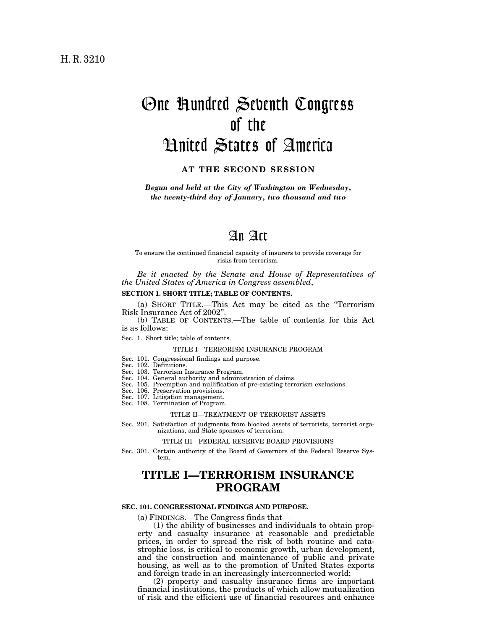# One Hundred Seventh Congress of the United States of America

# **AT THE SECOND SESSION**

*Begun and held at the City of Washington on Wednesday, the twenty-third day of January, two thousand and two*

# An Act

#### To ensure the continued financial capacity of insurers to provide coverage for risks from terrorism.

*Be it enacted by the Senate and House of Representatives of the United States of America in Congress assembled*,

#### **SECTION 1. SHORT TITLE; TABLE OF CONTENTS.**

(a) SHORT TITLE.—This Act may be cited as the ''Terrorism Risk Insurance Act of 2002''.

(b) TABLE OF CONTENTS.—The table of contents for this Act is as follows:

Sec. 1. Short title; table of contents.

#### TITLE I—TERRORISM INSURANCE PROGRAM

- Sec. 101. Congressional findings and purpose.
- Sec. 102. Definitions.
- Sec. 103. Terrorism Insurance Program.
- Sec. 104. General authority and administration of claims. Sec. 105. Preemption and nullification of pre-existing terrorism exclusions.
- 
- Sec. 106. Preservation provisions.
- Sec. 107. Litigation management.
- Sec. 108. Termination of Program.

#### TITLE II—TREATMENT OF TERRORIST ASSETS

Sec. 201. Satisfaction of judgments from blocked assets of terrorists, terrorist organizations, and State sponsors of terrorism.

#### TITLE III—FEDERAL RESERVE BOARD PROVISIONS

Sec. 301. Certain authority of the Board of Governors of the Federal Reserve System.

# **TITLE I—TERRORISM INSURANCE PROGRAM**

#### **SEC. 101. CONGRESSIONAL FINDINGS AND PURPOSE.**

(a) FINDINGS.—The Congress finds that—

(1) the ability of businesses and individuals to obtain property and casualty insurance at reasonable and predictable prices, in order to spread the risk of both routine and catastrophic loss, is critical to economic growth, urban development, and the construction and maintenance of public and private housing, as well as to the promotion of United States exports and foreign trade in an increasingly interconnected world;

(2) property and casualty insurance firms are important financial institutions, the products of which allow mutualization of risk and the efficient use of financial resources and enhance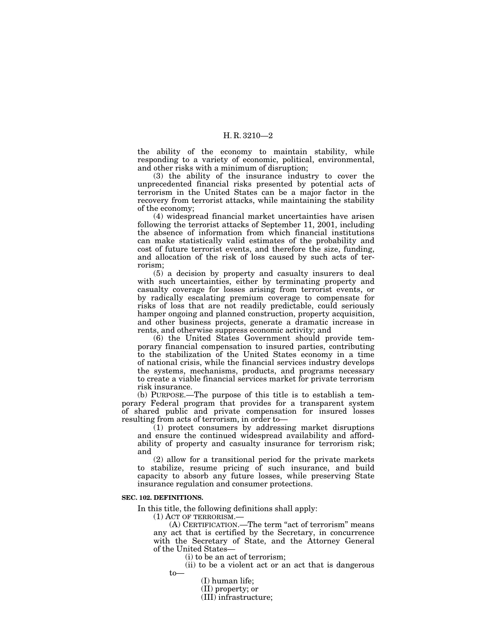the ability of the economy to maintain stability, while responding to a variety of economic, political, environmental, and other risks with a minimum of disruption;

(3) the ability of the insurance industry to cover the unprecedented financial risks presented by potential acts of terrorism in the United States can be a major factor in the recovery from terrorist attacks, while maintaining the stability of the economy;

(4) widespread financial market uncertainties have arisen following the terrorist attacks of September 11, 2001, including the absence of information from which financial institutions can make statistically valid estimates of the probability and cost of future terrorist events, and therefore the size, funding, and allocation of the risk of loss caused by such acts of terrorism;

(5) a decision by property and casualty insurers to deal with such uncertainties, either by terminating property and casualty coverage for losses arising from terrorist events, or by radically escalating premium coverage to compensate for risks of loss that are not readily predictable, could seriously hamper ongoing and planned construction, property acquisition, and other business projects, generate a dramatic increase in rents, and otherwise suppress economic activity; and

(6) the United States Government should provide temporary financial compensation to insured parties, contributing to the stabilization of the United States economy in a time of national crisis, while the financial services industry develops the systems, mechanisms, products, and programs necessary to create a viable financial services market for private terrorism risk insurance.

(b) PURPOSE.—The purpose of this title is to establish a temporary Federal program that provides for a transparent system of shared public and private compensation for insured losses resulting from acts of terrorism, in order to—

(1) protect consumers by addressing market disruptions and ensure the continued widespread availability and affordability of property and casualty insurance for terrorism risk; and

(2) allow for a transitional period for the private markets to stabilize, resume pricing of such insurance, and build capacity to absorb any future losses, while preserving State insurance regulation and consumer protections.

#### **SEC. 102. DEFINITIONS.**

In this title, the following definitions shall apply:

(1) ACT OF TERRORISM.—

(A) CERTIFICATION.—The term "act of terrorism" means any act that is certified by the Secretary, in concurrence with the Secretary of State, and the Attorney General of the United States—

(i) to be an act of terrorism;

(ii) to be a violent act or an act that is dangerous to—

(I) human life;

(II) property; or

(III) infrastructure;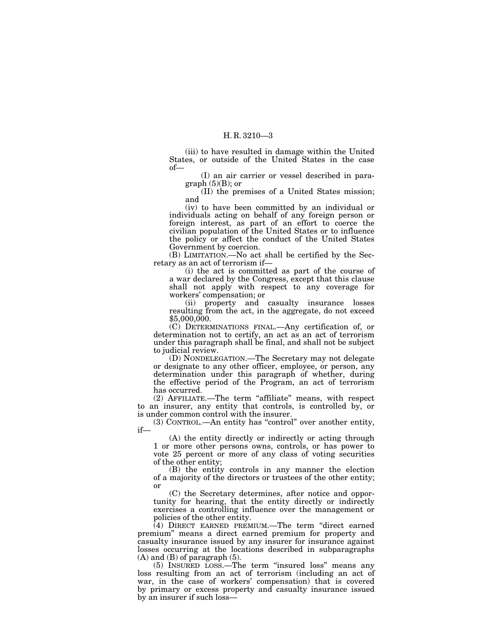(iii) to have resulted in damage within the United States, or outside of the United States in the case of—

(I) an air carrier or vessel described in para $graph (5)(B);$  or

(II) the premises of a United States mission; and

(iv) to have been committed by an individual or individuals acting on behalf of any foreign person or foreign interest, as part of an effort to coerce the civilian population of the United States or to influence the policy or affect the conduct of the United States Government by coercion.

(B) LIMITATION.—No act shall be certified by the Secretary as an act of terrorism if—

(i) the act is committed as part of the course of a war declared by the Congress, except that this clause shall not apply with respect to any coverage for workers' compensation; or

(ii) property and casualty insurance losses resulting from the act, in the aggregate, do not exceed \$5,000,000.

(C) DETERMINATIONS FINAL.—Any certification of, or determination not to certify, an act as an act of terrorism under this paragraph shall be final, and shall not be subject to judicial review.

(D) NONDELEGATION.—The Secretary may not delegate or designate to any other officer, employee, or person, any determination under this paragraph of whether, during the effective period of the Program, an act of terrorism has occurred.

(2) AFFILIATE.—The term ''affiliate'' means, with respect to an insurer, any entity that controls, is controlled by, or is under common control with the insurer.

(3) CONTROL.—An entity has ''control'' over another entity, if—

(A) the entity directly or indirectly or acting through 1 or more other persons owns, controls, or has power to vote 25 percent or more of any class of voting securities of the other entity;

(B) the entity controls in any manner the election of a majority of the directors or trustees of the other entity; or

(C) the Secretary determines, after notice and opportunity for hearing, that the entity directly or indirectly exercises a controlling influence over the management or policies of the other entity.

(4) DIRECT EARNED PREMIUM.—The term ''direct earned premium'' means a direct earned premium for property and casualty insurance issued by any insurer for insurance against losses occurring at the locations described in subparagraphs  $(A)$  and  $(B)$  of paragraph  $(5)$ .

(5) INSURED LOSS.—The term ''insured loss'' means any loss resulting from an act of terrorism (including an act of war, in the case of workers' compensation) that is covered by primary or excess property and casualty insurance issued by an insurer if such loss—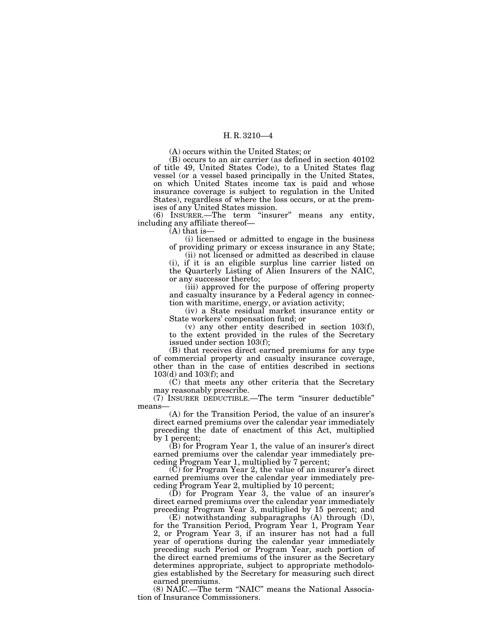(A) occurs within the United States; or

(B) occurs to an air carrier (as defined in section 40102 of title 49, United States Code), to a United States flag vessel (or a vessel based principally in the United States, on which United States income tax is paid and whose insurance coverage is subject to regulation in the United States), regardless of where the loss occurs, or at the premises of any United States mission.

 $(6)$  INSURER.—The term "insurer" means any entity, including any affiliate thereof—

 $\overline{A}$ ) that is— (i) licensed or admitted to engage in the business of providing primary or excess insurance in any State;

(ii) not licensed or admitted as described in clause (i), if it is an eligible surplus line carrier listed on the Quarterly Listing of Alien Insurers of the NAIC, or any successor thereto;

(iii) approved for the purpose of offering property and casualty insurance by a Federal agency in connection with maritime, energy, or aviation activity;

(iv) a State residual market insurance entity or State workers' compensation fund; or

(v) any other entity described in section 103(f), to the extent provided in the rules of the Secretary issued under section 103(f);

(B) that receives direct earned premiums for any type of commercial property and casualty insurance coverage, other than in the case of entities described in sections 103(d) and 103(f); and

(C) that meets any other criteria that the Secretary may reasonably prescribe.

(7) INSURER DEDUCTIBLE.—The term ''insurer deductible'' means—

(A) for the Transition Period, the value of an insurer's direct earned premiums over the calendar year immediately preceding the date of enactment of this Act, multiplied by 1 percent;

(B) for Program Year 1, the value of an insurer's direct earned premiums over the calendar year immediately preceding Program Year 1, multiplied by 7 percent;

(C) for Program Year 2, the value of an insurer's direct earned premiums over the calendar year immediately preceding Program Year 2, multiplied by 10 percent;

(D) for Program Year 3, the value of an insurer's direct earned premiums over the calendar year immediately preceding Program Year 3, multiplied by 15 percent; and

(E) notwithstanding subparagraphs (A) through (D), for the Transition Period, Program Year 1, Program Year 2, or Program Year 3, if an insurer has not had a full year of operations during the calendar year immediately preceding such Period or Program Year, such portion of the direct earned premiums of the insurer as the Secretary determines appropriate, subject to appropriate methodologies established by the Secretary for measuring such direct earned premiums.

(8) NAIC.—The term ''NAIC'' means the National Association of Insurance Commissioners.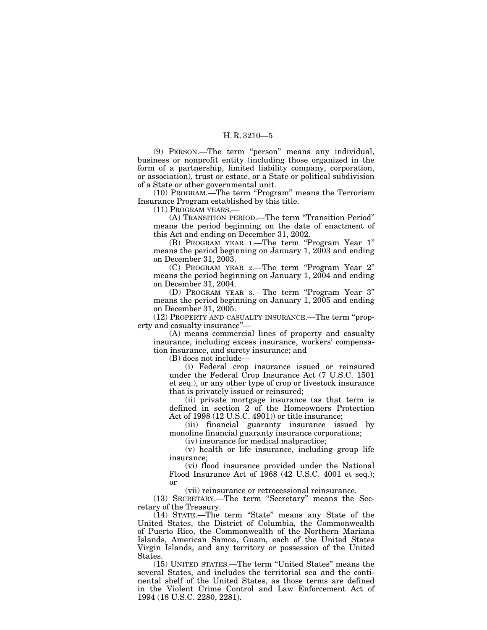(9) PERSON.—The term ''person'' means any individual, business or nonprofit entity (including those organized in the form of a partnership, limited liability company, corporation, or association), trust or estate, or a State or political subdivision of a State or other governmental unit.

(10) PROGRAM.—The term "Program" means the Terrorism Insurance Program established by this title.

(11) PROGRAM YEARS.—

(A) TRANSITION PERIOD.—The term ''Transition Period'' means the period beginning on the date of enactment of this Act and ending on December 31, 2002.

(B) PROGRAM YEAR 1.—The term ''Program Year 1'' means the period beginning on January 1, 2003 and ending on December 31, 2003.

(C) PROGRAM YEAR 2.—The term ''Program Year 2'' means the period beginning on January 1, 2004 and ending on December 31, 2004.

(D) PROGRAM YEAR 3.—The term ''Program Year 3'' means the period beginning on January 1, 2005 and ending on December 31, 2005.

(12) PROPERTY AND CASUALTY INSURANCE.—The term ''property and casualty insurance''—

(A) means commercial lines of property and casualty insurance, including excess insurance, workers' compensation insurance, and surety insurance; and

(B) does not include—

(i) Federal crop insurance issued or reinsured under the Federal Crop Insurance Act (7 U.S.C. 1501 et seq.), or any other type of crop or livestock insurance that is privately issued or reinsured;

(ii) private mortgage insurance (as that term is defined in section 2 of the Homeowners Protection Act of 1998 (12 U.S.C. 4901)) or title insurance;

(iii) financial guaranty insurance issued by monoline financial guaranty insurance corporations;

(iv) insurance for medical malpractice;

(v) health or life insurance, including group life insurance;

(vi) flood insurance provided under the National Flood Insurance Act of 1968 (42 U.S.C. 4001 et seq.); or

(vii) reinsurance or retrocessional reinsurance.

(13) SECRETARY.—The term ''Secretary'' means the Secretary of the Treasury.

(14) STATE.—The term ''State'' means any State of the United States, the District of Columbia, the Commonwealth of Puerto Rico, the Commonwealth of the Northern Mariana Islands, American Samoa, Guam, each of the United States Virgin Islands, and any territory or possession of the United States.

(15) UNITED STATES.—The term ''United States'' means the several States, and includes the territorial sea and the continental shelf of the United States, as those terms are defined in the Violent Crime Control and Law Enforcement Act of 1994 (18 U.S.C. 2280, 2281).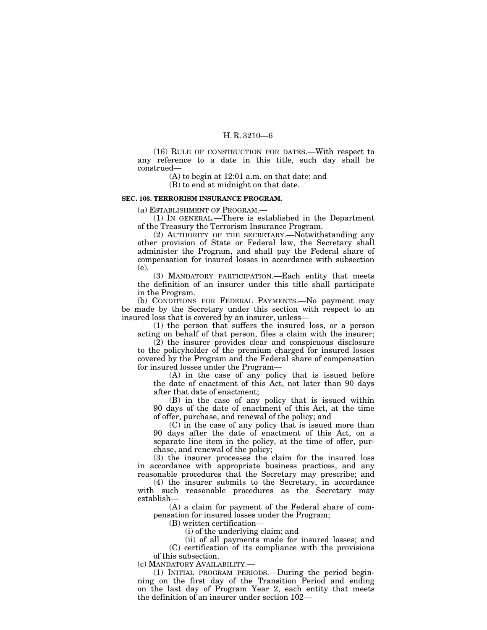(16) RULE OF CONSTRUCTION FOR DATES.—With respect to any reference to a date in this title, such day shall be construed—

(A) to begin at 12:01 a.m. on that date; and

(B) to end at midnight on that date.

#### **SEC. 103. TERRORISM INSURANCE PROGRAM.**

(a) ESTABLISHMENT OF PROGRAM.—

(1) IN GENERAL.—There is established in the Department of the Treasury the Terrorism Insurance Program.

(2) AUTHORITY OF THE SECRETARY.—Notwithstanding any other provision of State or Federal law, the Secretary shall administer the Program, and shall pay the Federal share of compensation for insured losses in accordance with subsection (e).

(3) MANDATORY PARTICIPATION.—Each entity that meets the definition of an insurer under this title shall participate in the Program.

(b) CONDITIONS FOR FEDERAL PAYMENTS.—No payment may be made by the Secretary under this section with respect to an insured loss that is covered by an insurer, unless—

(1) the person that suffers the insured loss, or a person acting on behalf of that person, files a claim with the insurer;

(2) the insurer provides clear and conspicuous disclosure to the policyholder of the premium charged for insured losses covered by the Program and the Federal share of compensation for insured losses under the Program—

(A) in the case of any policy that is issued before the date of enactment of this Act, not later than 90 days after that date of enactment;

(B) in the case of any policy that is issued within 90 days of the date of enactment of this Act, at the time of offer, purchase, and renewal of the policy; and

(C) in the case of any policy that is issued more than 90 days after the date of enactment of this Act, on a separate line item in the policy, at the time of offer, purchase, and renewal of the policy;

(3) the insurer processes the claim for the insured loss in accordance with appropriate business practices, and any reasonable procedures that the Secretary may prescribe; and

(4) the insurer submits to the Secretary, in accordance with such reasonable procedures as the Secretary may establish—

(A) a claim for payment of the Federal share of compensation for insured losses under the Program;

(B) written certification—

(i) of the underlying claim; and

(ii) of all payments made for insured losses; and (C) certification of its compliance with the provisions of this subsection.

(c) MANDATORY AVAILABILITY.—

(1) INITIAL PROGRAM PERIODS.—During the period beginning on the first day of the Transition Period and ending on the last day of Program Year 2, each entity that meets the definition of an insurer under section 102—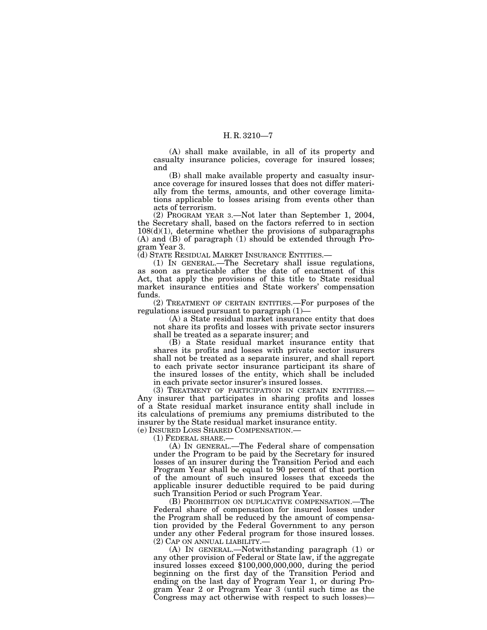(A) shall make available, in all of its property and casualty insurance policies, coverage for insured losses; and

(B) shall make available property and casualty insurance coverage for insured losses that does not differ materially from the terms, amounts, and other coverage limitations applicable to losses arising from events other than acts of terrorism.

(2) PROGRAM YEAR 3.—Not later than September 1, 2004, the Secretary shall, based on the factors referred to in section 108(d)(1), determine whether the provisions of subparagraphs (A) and (B) of paragraph (1) should be extended through Program Year 3.

(d) STATE RESIDUAL MARKET INSURANCE ENTITIES.—

(1) IN GENERAL.—The Secretary shall issue regulations, as soon as practicable after the date of enactment of this Act, that apply the provisions of this title to State residual market insurance entities and State workers' compensation funds.

(2) TREATMENT OF CERTAIN ENTITIES.—For purposes of the regulations issued pursuant to paragraph (1)—

(A) a State residual market insurance entity that does not share its profits and losses with private sector insurers shall be treated as a separate insurer; and

(B) a State residual market insurance entity that shares its profits and losses with private sector insurers shall not be treated as a separate insurer, and shall report to each private sector insurance participant its share of the insured losses of the entity, which shall be included in each private sector insurer's insured losses.

(3) TREATMENT OF PARTICIPATION IN CERTAIN ENTITIES.— Any insurer that participates in sharing profits and losses of a State residual market insurance entity shall include in its calculations of premiums any premiums distributed to the insurer by the State residual market insurance entity. (e) INSURED LOSS SHARED COMPENSATION.—

(1) FEDERAL SHARE.—

(A) IN GENERAL.—The Federal share of compensation under the Program to be paid by the Secretary for insured losses of an insurer during the Transition Period and each Program Year shall be equal to 90 percent of that portion of the amount of such insured losses that exceeds the applicable insurer deductible required to be paid during such Transition Period or such Program Year.

(B) PROHIBITION ON DUPLICATIVE COMPENSATION.—The Federal share of compensation for insured losses under the Program shall be reduced by the amount of compensation provided by the Federal Government to any person under any other Federal program for those insured losses. (2) CAP ON ANNUAL LIABILITY.—

(A) IN GENERAL.—Notwithstanding paragraph (1) or any other provision of Federal or State law, if the aggregate insured losses exceed \$100,000,000,000, during the period beginning on the first day of the Transition Period and ending on the last day of Program Year 1, or during Program Year 2 or Program Year 3 (until such time as the Congress may act otherwise with respect to such losses)—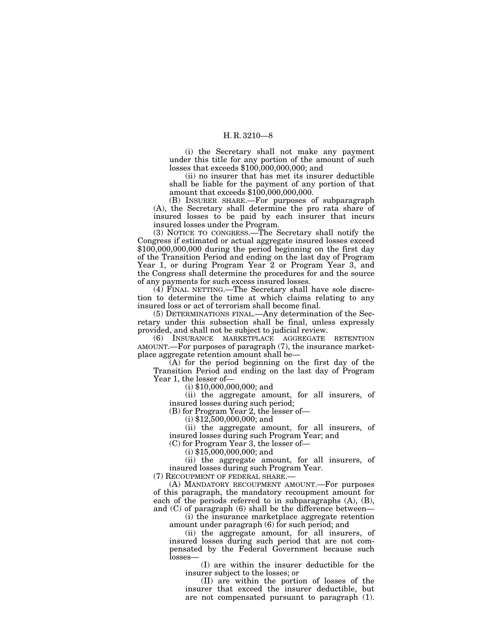(i) the Secretary shall not make any payment under this title for any portion of the amount of such losses that exceeds \$100,000,000,000; and

(ii) no insurer that has met its insurer deductible shall be liable for the payment of any portion of that amount that exceeds \$100,000,000,000.

(B) INSURER SHARE.—For purposes of subparagraph (A), the Secretary shall determine the pro rata share of insured losses to be paid by each insurer that incurs insured losses under the Program.

(3) NOTICE TO CONGRESS.—The Secretary shall notify the Congress if estimated or actual aggregate insured losses exceed  $$100,000,000,000$  during the period beginning on the first day of the Transition Period and ending on the last day of Program Year 1, or during Program Year 2 or Program Year 3, and the Congress shall determine the procedures for and the source of any payments for such excess insured losses.

(4) FINAL NETTING.—The Secretary shall have sole discretion to determine the time at which claims relating to any insured loss or act of terrorism shall become final.

(5) DETERMINATIONS FINAL.—Any determination of the Secretary under this subsection shall be final, unless expressly provided, and shall not be subject to judicial review.

(6) INSURANCE MARKETPLACE AGGREGATE RETENTION AMOUNT.—For purposes of paragraph (7), the insurance marketplace aggregate retention amount shall be—

(A) for the period beginning on the first day of the Transition Period and ending on the last day of Program Year 1, the lesser of—

(i) \$10,000,000,000; and

(ii) the aggregate amount, for all insurers, of insured losses during such period;

(B) for Program Year 2, the lesser of—

(i) \$12,500,000,000; and

(ii) the aggregate amount, for all insurers, of insured losses during such Program Year; and

(C) for Program Year 3, the lesser of—

(i) \$15,000,000,000; and

(ii) the aggregate amount, for all insurers, of insured losses during such Program Year.

(7) RECOUPMENT OF FEDERAL SHARE.—

(A) MANDATORY RECOUPMENT AMOUNT.—For purposes of this paragraph, the mandatory recoupment amount for each of the periods referred to in subparagraphs (A), (B), and (C) of paragraph (6) shall be the difference between—

(i) the insurance marketplace aggregate retention amount under paragraph (6) for such period; and

(ii) the aggregate amount, for all insurers, of insured losses during such period that are not compensated by the Federal Government because such losses—

(I) are within the insurer deductible for the insurer subject to the losses; or

(II) are within the portion of losses of the insurer that exceed the insurer deductible, but are not compensated pursuant to paragraph (1).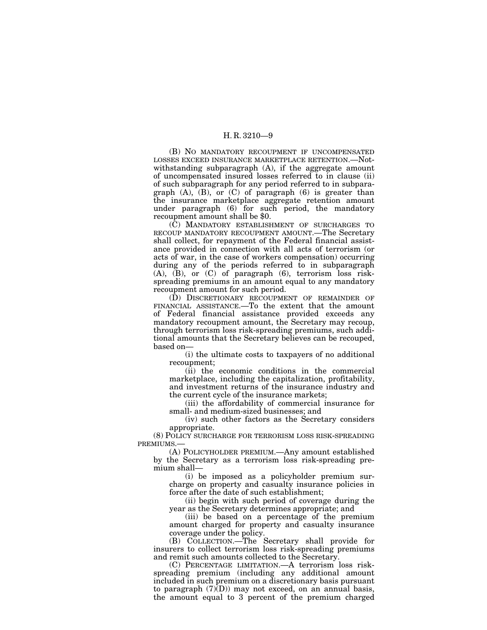(B) NO MANDATORY RECOUPMENT IF UNCOMPENSATED LOSSES EXCEED INSURANCE MARKETPLACE RETENTION.—Notwithstanding subparagraph (A), if the aggregate amount of uncompensated insured losses referred to in clause (ii) of such subparagraph for any period referred to in subparagraph  $(A)$ ,  $(B)$ ,  $\overline{or}$   $(C)$  of paragraph  $(6)$  is greater than the insurance marketplace aggregate retention amount under paragraph (6) for such period, the mandatory recoupment amount shall be \$0.

(C) MANDATORY ESTABLISHMENT OF SURCHARGES TO RECOUP MANDATORY RECOUPMENT AMOUNT.—The Secretary shall collect, for repayment of the Federal financial assistance provided in connection with all acts of terrorism (or acts of war, in the case of workers compensation) occurring during any of the periods referred to in subparagraph (A), (B), or (C) of paragraph (6), terrorism loss riskspreading premiums in an amount equal to any mandatory recoupment amount for such period.

(D) DISCRETIONARY RECOUPMENT OF REMAINDER OF FINANCIAL ASSISTANCE.—To the extent that the amount of Federal financial assistance provided exceeds any mandatory recoupment amount, the Secretary may recoup, through terrorism loss risk-spreading premiums, such additional amounts that the Secretary believes can be recouped, based on—

(i) the ultimate costs to taxpayers of no additional recoupment;

(ii) the economic conditions in the commercial marketplace, including the capitalization, profitability, and investment returns of the insurance industry and the current cycle of the insurance markets;

(iii) the affordability of commercial insurance for small- and medium-sized businesses; and

(iv) such other factors as the Secretary considers appropriate.

(8) POLICY SURCHARGE FOR TERRORISM LOSS RISK-SPREADING PREMIUMS.—

(A) POLICYHOLDER PREMIUM.—Any amount established by the Secretary as a terrorism loss risk-spreading premium shall—

(i) be imposed as a policyholder premium surcharge on property and casualty insurance policies in force after the date of such establishment;

(ii) begin with such period of coverage during the year as the Secretary determines appropriate; and

(iii) be based on a percentage of the premium amount charged for property and casualty insurance coverage under the policy.

(B) COLLECTION.—The Secretary shall provide for insurers to collect terrorism loss risk-spreading premiums and remit such amounts collected to the Secretary.

(C) PERCENTAGE LIMITATION.—A terrorism loss riskspreading premium (including any additional amount included in such premium on a discretionary basis pursuant to paragraph  $(7)(D)$  may not exceed, on an annual basis, the amount equal to 3 percent of the premium charged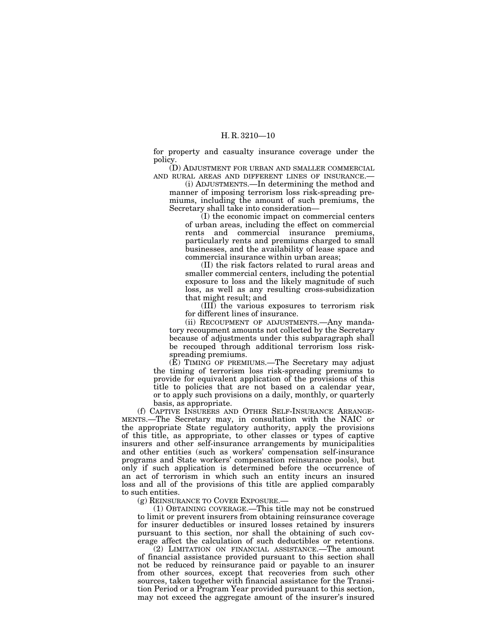for property and casualty insurance coverage under the policy.

(D) ADJUSTMENT FOR URBAN AND SMALLER COMMERCIAL AND RURAL AREAS AND DIFFERENT LINES OF INSURANCE.-

(i) ADJUSTMENTS.—In determining the method and manner of imposing terrorism loss risk-spreading premiums, including the amount of such premiums, the Secretary shall take into consideration—

(I) the economic impact on commercial centers of urban areas, including the effect on commercial rents and commercial insurance premiums, particularly rents and premiums charged to small businesses, and the availability of lease space and commercial insurance within urban areas;

(II) the risk factors related to rural areas and smaller commercial centers, including the potential exposure to loss and the likely magnitude of such loss, as well as any resulting cross-subsidization that might result; and

(III) the various exposures to terrorism risk for different lines of insurance.

(ii) RECOUPMENT OF ADJUSTMENTS.—Any mandatory recoupment amounts not collected by the Secretary because of adjustments under this subparagraph shall be recouped through additional terrorism loss riskspreading premiums.

(E) TIMING OF PREMIUMS.—The Secretary may adjust the timing of terrorism loss risk-spreading premiums to provide for equivalent application of the provisions of this title to policies that are not based on a calendar year, or to apply such provisions on a daily, monthly, or quarterly basis, as appropriate.

(f) CAPTIVE INSURERS AND OTHER SELF-INSURANCE ARRANGE-MENTS.—The Secretary may, in consultation with the NAIC or the appropriate State regulatory authority, apply the provisions of this title, as appropriate, to other classes or types of captive insurers and other self-insurance arrangements by municipalities and other entities (such as workers' compensation self-insurance programs and State workers' compensation reinsurance pools), but only if such application is determined before the occurrence of an act of terrorism in which such an entity incurs an insured loss and all of the provisions of this title are applied comparably to such entities.

(g) REINSURANCE TO COVER EXPOSURE.—

(1) OBTAINING COVERAGE.—This title may not be construed to limit or prevent insurers from obtaining reinsurance coverage for insurer deductibles or insured losses retained by insurers pursuant to this section, nor shall the obtaining of such coverage affect the calculation of such deductibles or retentions.

(2) LIMITATION ON FINANCIAL ASSISTANCE.—The amount of financial assistance provided pursuant to this section shall not be reduced by reinsurance paid or payable to an insurer from other sources, except that recoveries from such other sources, taken together with financial assistance for the Transition Period or a Program Year provided pursuant to this section, may not exceed the aggregate amount of the insurer's insured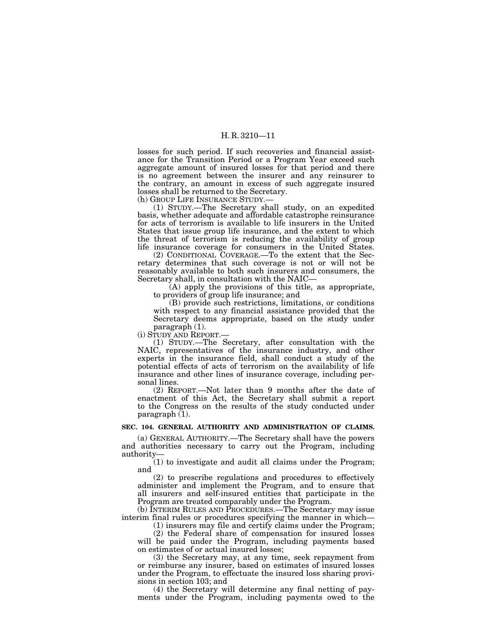losses for such period. If such recoveries and financial assistance for the Transition Period or a Program Year exceed such aggregate amount of insured losses for that period and there is no agreement between the insurer and any reinsurer to the contrary, an amount in excess of such aggregate insured losses shall be returned to the Secretary.

(h) GROUP LIFE INSURANCE STUDY.—

(1) STUDY.—The Secretary shall study, on an expedited basis, whether adequate and affordable catastrophe reinsurance for acts of terrorism is available to life insurers in the United States that issue group life insurance, and the extent to which the threat of terrorism is reducing the availability of group life insurance coverage for consumers in the United States.

(2) CONDITIONAL COVERAGE.—To the extent that the Secretary determines that such coverage is not or will not be reasonably available to both such insurers and consumers, the Secretary shall, in consultation with the NAIC—

(A) apply the provisions of this title, as appropriate, to providers of group life insurance; and

(B) provide such restrictions, limitations, or conditions with respect to any financial assistance provided that the Secretary deems appropriate, based on the study under paragraph (1).

(i) STUDY AND REPORT.—

(1) STUDY.—The Secretary, after consultation with the NAIC, representatives of the insurance industry, and other experts in the insurance field, shall conduct a study of the potential effects of acts of terrorism on the availability of life insurance and other lines of insurance coverage, including personal lines.

(2) REPORT.—Not later than 9 months after the date of enactment of this Act, the Secretary shall submit a report to the Congress on the results of the study conducted under paragraph (1).

#### **SEC. 104. GENERAL AUTHORITY AND ADMINISTRATION OF CLAIMS.**

(a) GENERAL AUTHORITY.—The Secretary shall have the powers and authorities necessary to carry out the Program, including authority—

(1) to investigate and audit all claims under the Program; and

(2) to prescribe regulations and procedures to effectively administer and implement the Program, and to ensure that all insurers and self-insured entities that participate in the Program are treated comparably under the Program.

(b) INTERIM RULES AND PROCEDURES.—The Secretary may issue interim final rules or procedures specifying the manner in which—

(1) insurers may file and certify claims under the Program;

(2) the Federal share of compensation for insured losses will be paid under the Program, including payments based on estimates of or actual insured losses;

(3) the Secretary may, at any time, seek repayment from or reimburse any insurer, based on estimates of insured losses under the Program, to effectuate the insured loss sharing provisions in section 103; and

(4) the Secretary will determine any final netting of payments under the Program, including payments owed to the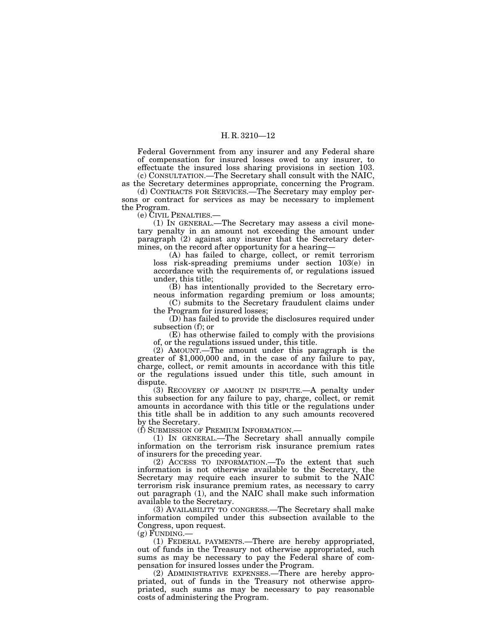Federal Government from any insurer and any Federal share of compensation for insured losses owed to any insurer, to effectuate the insured loss sharing provisions in section 103. (c) CONSULTATION.—The Secretary shall consult with the NAIC,

as the Secretary determines appropriate, concerning the Program.

(d) CONTRACTS FOR SERVICES.—The Secretary may employ persons or contract for services as may be necessary to implement the Program.

(e) CIVIL PENALTIES.— (1) IN GENERAL.—The Secretary may assess a civil monetary penalty in an amount not exceeding the amount under paragraph (2) against any insurer that the Secretary determines, on the record after opportunity for a hearing—

(A) has failed to charge, collect, or remit terrorism loss risk-spreading premiums under section 103(e) in accordance with the requirements of, or regulations issued under, this title;

(B) has intentionally provided to the Secretary erroneous information regarding premium or loss amounts;

(C) submits to the Secretary fraudulent claims under the Program for insured losses;

(D) has failed to provide the disclosures required under subsection (f); or

(E) has otherwise failed to comply with the provisions of, or the regulations issued under, this title.

(2) AMOUNT.—The amount under this paragraph is the greater of \$1,000,000 and, in the case of any failure to pay, charge, collect, or remit amounts in accordance with this title or the regulations issued under this title, such amount in dispute.

(3) RECOVERY OF AMOUNT IN DISPUTE.—A penalty under this subsection for any failure to pay, charge, collect, or remit amounts in accordance with this title or the regulations under this title shall be in addition to any such amounts recovered by the Secretary.

(f) SUBMISSION OF PREMIUM INFORMATION.—

(1) IN GENERAL.—The Secretary shall annually compile information on the terrorism risk insurance premium rates of insurers for the preceding year.

(2) ACCESS TO INFORMATION.—To the extent that such information is not otherwise available to the Secretary, the Secretary may require each insurer to submit to the NAIC terrorism risk insurance premium rates, as necessary to carry out paragraph (1), and the NAIC shall make such information available to the Secretary.

(3) AVAILABILITY TO CONGRESS.—The Secretary shall make information compiled under this subsection available to the Congress, upon request.<br>(g) FUNDING.—

(1) FEDERAL PAYMENTS.— There are hereby appropriated, out of funds in the Treasury not otherwise appropriated, such sums as may be necessary to pay the Federal share of compensation for insured losses under the Program.

(2) ADMINISTRATIVE EXPENSES.—There are hereby appropriated, out of funds in the Treasury not otherwise appropriated, such sums as may be necessary to pay reasonable costs of administering the Program.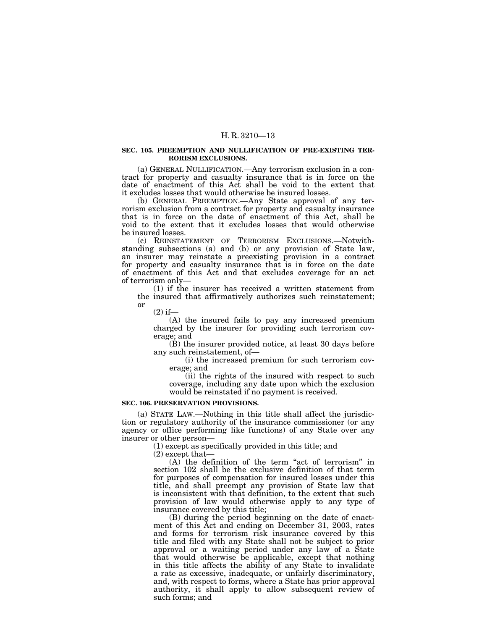#### **SEC. 105. PREEMPTION AND NULLIFICATION OF PRE-EXISTING TER-RORISM EXCLUSIONS.**

(a) GENERAL NULLIFICATION.—Any terrorism exclusion in a contract for property and casualty insurance that is in force on the date of enactment of this Act shall be void to the extent that it excludes losses that would otherwise be insured losses.

(b) GENERAL PREEMPTION.—Any State approval of any terrorism exclusion from a contract for property and casualty insurance that is in force on the date of enactment of this Act, shall be void to the extent that it excludes losses that would otherwise be insured losses.

(c) REINSTATEMENT OF TERRORISM EXCLUSIONS.—Notwithstanding subsections (a) and (b) or any provision of State law, an insurer may reinstate a preexisting provision in a contract for property and casualty insurance that is in force on the date of enactment of this Act and that excludes coverage for an act of terrorism only—

(1) if the insurer has received a written statement from the insured that affirmatively authorizes such reinstatement; or

 $(2)$  if-

(A) the insured fails to pay any increased premium charged by the insurer for providing such terrorism coverage; and

(B) the insurer provided notice, at least 30 days before any such reinstatement, of—

(i) the increased premium for such terrorism coverage; and

(ii) the rights of the insured with respect to such coverage, including any date upon which the exclusion would be reinstated if no payment is received.

#### **SEC. 106. PRESERVATION PROVISIONS.**

(a) STATE LAW.—Nothing in this title shall affect the jurisdiction or regulatory authority of the insurance commissioner (or any agency or office performing like functions) of any State over any insurer or other person—

(1) except as specifically provided in this title; and

(2) except that—

 $(A)$  the definition of the term "act of terrorism" in section 102 shall be the exclusive definition of that term for purposes of compensation for insured losses under this title, and shall preempt any provision of State law that is inconsistent with that definition, to the extent that such provision of law would otherwise apply to any type of insurance covered by this title;

(B) during the period beginning on the date of enactment of this Act and ending on December 31, 2003, rates and forms for terrorism risk insurance covered by this title and filed with any State shall not be subject to prior approval or a waiting period under any law of a State that would otherwise be applicable, except that nothing in this title affects the ability of any State to invalidate a rate as excessive, inadequate, or unfairly discriminatory, and, with respect to forms, where a State has prior approval authority, it shall apply to allow subsequent review of such forms; and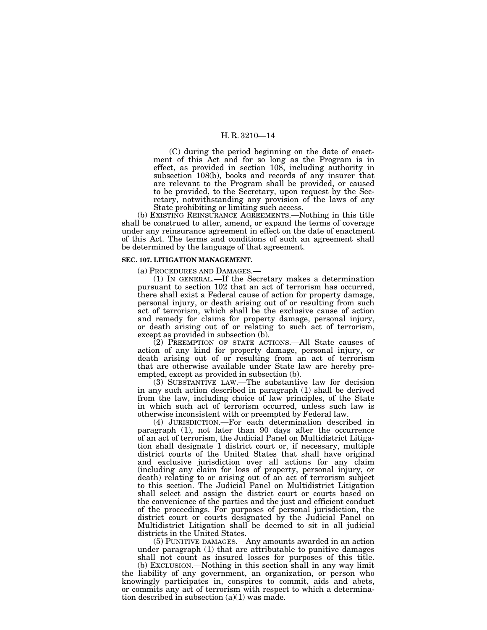(C) during the period beginning on the date of enactment of this Act and for so long as the Program is in effect, as provided in section 108, including authority in subsection 108(b), books and records of any insurer that are relevant to the Program shall be provided, or caused to be provided, to the Secretary, upon request by the Secretary, notwithstanding any provision of the laws of any State prohibiting or limiting such access.

(b) EXISTING REINSURANCE AGREEMENTS.—Nothing in this title shall be construed to alter, amend, or expand the terms of coverage under any reinsurance agreement in effect on the date of enactment of this Act. The terms and conditions of such an agreement shall be determined by the language of that agreement.

#### **SEC. 107. LITIGATION MANAGEMENT.**

(a) PROCEDURES AND DAMAGES.—

(1) IN GENERAL.—If the Secretary makes a determination pursuant to section 102 that an act of terrorism has occurred, there shall exist a Federal cause of action for property damage, personal injury, or death arising out of or resulting from such act of terrorism, which shall be the exclusive cause of action and remedy for claims for property damage, personal injury, or death arising out of or relating to such act of terrorism, except as provided in subsection (b).

(2) PREEMPTION OF STATE ACTIONS.—All State causes of action of any kind for property damage, personal injury, or death arising out of or resulting from an act of terrorism that are otherwise available under State law are hereby preempted, except as provided in subsection (b).

(3) SUBSTANTIVE LAW.—The substantive law for decision in any such action described in paragraph (1) shall be derived from the law, including choice of law principles, of the State in which such act of terrorism occurred, unless such law is otherwise inconsistent with or preempted by Federal law.

(4) JURISDICTION.—For each determination described in paragraph (1), not later than 90 days after the occurrence of an act of terrorism, the Judicial Panel on Multidistrict Litigation shall designate 1 district court or, if necessary, multiple district courts of the United States that shall have original and exclusive jurisdiction over all actions for any claim (including any claim for loss of property, personal injury, or death) relating to or arising out of an act of terrorism subject to this section. The Judicial Panel on Multidistrict Litigation shall select and assign the district court or courts based on the convenience of the parties and the just and efficient conduct of the proceedings. For purposes of personal jurisdiction, the district court or courts designated by the Judicial Panel on Multidistrict Litigation shall be deemed to sit in all judicial districts in the United States.

(5) PUNITIVE DAMAGES.—Any amounts awarded in an action under paragraph (1) that are attributable to punitive damages shall not count as insured losses for purposes of this title.

(b) EXCLUSION.—Nothing in this section shall in any way limit the liability of any government, an organization, or person who knowingly participates in, conspires to commit, aids and abets, or commits any act of terrorism with respect to which a determination described in subsection (a)(1) was made.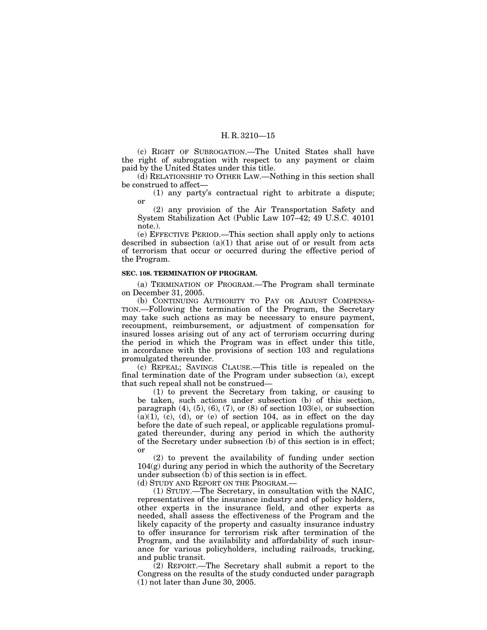(c) RIGHT OF SUBROGATION.—The United States shall have the right of subrogation with respect to any payment or claim paid by the United States under this title.

(d) RELATIONSHIP TO OTHER LAW.—Nothing in this section shall be construed to affect—

(1) any party's contractual right to arbitrate a dispute; or

(2) any provision of the Air Transportation Safety and System Stabilization Act (Public Law 107–42; 49 U.S.C. 40101 note.).

(e) EFFECTIVE PERIOD.—This section shall apply only to actions described in subsection (a)(1) that arise out of or result from acts of terrorism that occur or occurred during the effective period of the Program.

#### **SEC. 108. TERMINATION OF PROGRAM.**

(a) TERMINATION OF PROGRAM.—The Program shall terminate on December 31, 2005.

(b) CONTINUING AUTHORITY TO PAY OR ADJUST COMPENSA-TION.—Following the termination of the Program, the Secretary may take such actions as may be necessary to ensure payment, recoupment, reimbursement, or adjustment of compensation for insured losses arising out of any act of terrorism occurring during the period in which the Program was in effect under this title, in accordance with the provisions of section 103 and regulations promulgated thereunder.

(c) REPEAL; SAVINGS CLAUSE.—This title is repealed on the final termination date of the Program under subsection (a), except that such repeal shall not be construed—

(1) to prevent the Secretary from taking, or causing to be taken, such actions under subsection (b) of this section, paragraph  $(4)$ ,  $(5)$ ,  $(6)$ ,  $(7)$ , or  $(8)$  of section 103 $(e)$ , or subsection  $(a)(1)$ ,  $(c)$ ,  $(d)$ , or  $(e)$  of section 104, as in effect on the day before the date of such repeal, or applicable regulations promulgated thereunder, during any period in which the authority of the Secretary under subsection (b) of this section is in effect; or

(2) to prevent the availability of funding under section 104(g) during any period in which the authority of the Secretary under subsection (b) of this section is in effect.

(d) STUDY AND REPORT ON THE PROGRAM.—

(1) STUDY.—The Secretary, in consultation with the NAIC, representatives of the insurance industry and of policy holders, other experts in the insurance field, and other experts as needed, shall assess the effectiveness of the Program and the likely capacity of the property and casualty insurance industry to offer insurance for terrorism risk after termination of the Program, and the availability and affordability of such insurance for various policyholders, including railroads, trucking, and public transit.

(2) REPORT.—The Secretary shall submit a report to the Congress on the results of the study conducted under paragraph (1) not later than June 30, 2005.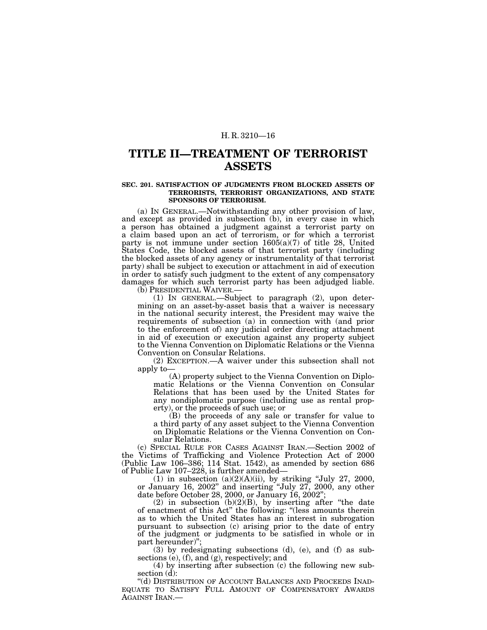# **TITLE II—TREATMENT OF TERRORIST ASSETS**

#### **SEC. 201. SATISFACTION OF JUDGMENTS FROM BLOCKED ASSETS OF TERRORISTS, TERRORIST ORGANIZATIONS, AND STATE SPONSORS OF TERRORISM.**

(a) IN GENERAL.—Notwithstanding any other provision of law, and except as provided in subsection (b), in every case in which a person has obtained a judgment against a terrorist party on a claim based upon an act of terrorism, or for which a terrorist party is not immune under section 1605(a)(7) of title 28, United States Code, the blocked assets of that terrorist party (including the blocked assets of any agency or instrumentality of that terrorist party) shall be subject to execution or attachment in aid of execution in order to satisfy such judgment to the extent of any compensatory damages for which such terrorist party has been adjudged liable.<br>(b) PRESIDENTIAL WAIVER.—

(1) IN GENERAL.—Subject to paragraph (2), upon determining on an asset-by-asset basis that a waiver is necessary in the national security interest, the President may waive the requirements of subsection (a) in connection with (and prior to the enforcement of) any judicial order directing attachment in aid of execution or execution against any property subject to the Vienna Convention on Diplomatic Relations or the Vienna Convention on Consular Relations.

(2) EXCEPTION.—A waiver under this subsection shall not apply to—

(A) property subject to the Vienna Convention on Diplomatic Relations or the Vienna Convention on Consular Relations that has been used by the United States for any nondiplomatic purpose (including use as rental property), or the proceeds of such use; or

(B) the proceeds of any sale or transfer for value to a third party of any asset subject to the Vienna Convention on Diplomatic Relations or the Vienna Convention on Consular Relations.

(c) SPECIAL RULE FOR CASES AGAINST IRAN.—Section 2002 of the Victims of Trafficking and Violence Protection Act of 2000 (Public Law 106–386; 114 Stat. 1542), as amended by section 686 of Public Law  $107-228$ , is further amended of Public Law 107–228, is further amended— (1) in subsection (a)(2)(A)(ii), by striking ''July 27, 2000,

or January 16, 2002'' and inserting ''July 27, 2000, any other date before October 28, 2000, or January 16, 2002'';

(2) in subsection  $(b)(2)(B)$ , by inserting after "the date of enactment of this Act'' the following: ''(less amounts therein as to which the United States has an interest in subrogation pursuant to subsection (c) arising prior to the date of entry of the judgment or judgments to be satisfied in whole or in part hereunder)'';

(3) by redesignating subsections (d), (e), and (f) as subsections (e), (f), and (g), respectively; and

(4) by inserting after subsection (c) the following new subsection (d):

''(d) DISTRIBUTION OF ACCOUNT BALANCES AND PROCEEDS INAD- EQUATE TO SATISFY FULL AMOUNT OF COMPENSATORY AWARDS AGAINST IRAN.—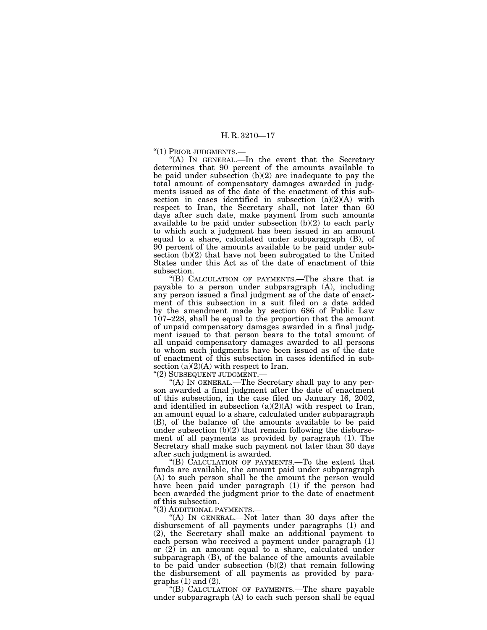''(1) PRIOR JUDGMENTS.—

"(A) In GENERAL.—In the event that the Secretary determines that 90 percent of the amounts available to be paid under subsection (b)(2) are inadequate to pay the total amount of compensatory damages awarded in judgments issued as of the date of the enactment of this subsection in cases identified in subsection  $(a)(2)(A)$  with respect to Iran, the Secretary shall, not later than 60 days after such date, make payment from such amounts available to be paid under subsection (b)(2) to each party to which such a judgment has been issued in an amount equal to a share, calculated under subparagraph (B), of 90 percent of the amounts available to be paid under subsection (b)(2) that have not been subrogated to the United States under this Act as of the date of enactment of this subsection.

''(B) CALCULATION OF PAYMENTS.—The share that is payable to a person under subparagraph (A), including any person issued a final judgment as of the date of enactment of this subsection in a suit filed on a date added by the amendment made by section 686 of Public Law 107–228, shall be equal to the proportion that the amount of unpaid compensatory damages awarded in a final judgment issued to that person bears to the total amount of all unpaid compensatory damages awarded to all persons to whom such judgments have been issued as of the date of enactment of this subsection in cases identified in subsection  $(a)(2)(A)$  with respect to Iran.

''(2) SUBSEQUENT JUDGMENT.—

''(A) IN GENERAL.—The Secretary shall pay to any person awarded a final judgment after the date of enactment of this subsection, in the case filed on January 16, 2002, and identified in subsection (a)(2)(A) with respect to Iran, an amount equal to a share, calculated under subparagraph (B), of the balance of the amounts available to be paid under subsection  $(b)(2)$  that remain following the disbursement of all payments as provided by paragraph (1). The Secretary shall make such payment not later than 30 days after such judgment is awarded.

''(B) CALCULATION OF PAYMENTS.—To the extent that funds are available, the amount paid under subparagraph (A) to such person shall be the amount the person would have been paid under paragraph (1) if the person had been awarded the judgment prior to the date of enactment of this subsection.

''(3) ADDITIONAL PAYMENTS.—

''(A) IN GENERAL.—Not later than 30 days after the disbursement of all payments under paragraphs (1) and (2), the Secretary shall make an additional payment to each person who received a payment under paragraph (1) or (2) in an amount equal to a share, calculated under subparagraph (B), of the balance of the amounts available to be paid under subsection  $(b)(2)$  that remain following the disbursement of all payments as provided by paragraphs  $(1)$  and  $(2)$ .

''(B) CALCULATION OF PAYMENTS.—The share payable under subparagraph (A) to each such person shall be equal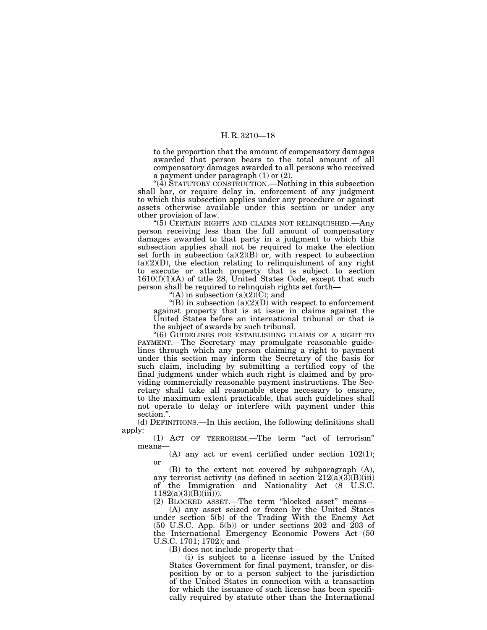to the proportion that the amount of compensatory damages awarded that person bears to the total amount of all compensatory damages awarded to all persons who received a payment under paragraph (1) or (2).

''(4) STATUTORY CONSTRUCTION.—Nothing in this subsection shall bar, or require delay in, enforcement of any judgment to which this subsection applies under any procedure or against assets otherwise available under this section or under any other provision of law.

''(5) CERTAIN RIGHTS AND CLAIMS NOT RELINQUISHED.—Any person receiving less than the full amount of compensatory damages awarded to that party in a judgment to which this subsection applies shall not be required to make the election set forth in subsection  $(a)(2)(B)$  or, with respect to subsection  $(a)(2)(D)$ , the election relating to relinquishment of any right to execute or attach property that is subject to section 1610(f)(1)(A) of title 28, United States Code, except that such person shall be required to relinquish rights set forth—

"(A) in subsection  $(a)(2)(C)$ ; and

"(B) in subsection  $(a)(2)(D)$  with respect to enforcement against property that is at issue in claims against the United States before an international tribunal or that is the subject of awards by such tribunal.

''(6) GUIDELINES FOR ESTABLISHING CLAIMS OF A RIGHT TO PAYMENT.—The Secretary may promulgate reasonable guidelines through which any person claiming a right to payment under this section may inform the Secretary of the basis for such claim, including by submitting a certified copy of the final judgment under which such right is claimed and by providing commercially reasonable payment instructions. The Secretary shall take all reasonable steps necessary to ensure, to the maximum extent practicable, that such guidelines shall not operate to delay or interfere with payment under this section.''.

(d) DEFINITIONS.—In this section, the following definitions shall apply:

(1) ACT OF TERRORISM.—The term ''act of terrorism'' means—

(A) any act or event certified under section 102(1); or

(B) to the extent not covered by subparagraph (A), any terrorist activity (as defined in section  $212(a)(3)(B)(iii)$ of the Immigration and Nationality Act (8 U.S.C.  $1182(a)(3)(B(iii))$ .<br>(2) BLOCKED ASSET.—The term "blocked asset" means—

(A) any asset seized or frozen by the United States under section 5(b) of the Trading With the Enemy Act (50 U.S.C. App. 5(b)) or under sections 202 and 203 of the International Emergency Economic Powers Act (50 U.S.C. 1701; 1702); and

(B) does not include property that— (i) is subject to a license issued by the United States Government for final payment, transfer, or disposition by or to a person subject to the jurisdiction of the United States in connection with a transaction for which the issuance of such license has been specifically required by statute other than the International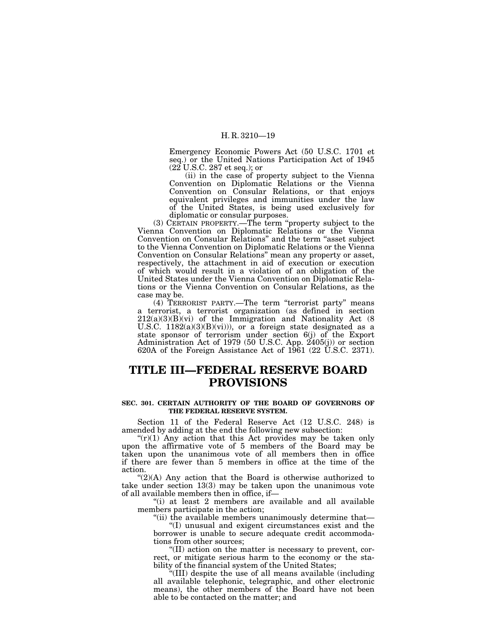Emergency Economic Powers Act (50 U.S.C. 1701 et seq.) or the United Nations Participation Act of 1945 (22 U.S.C. 287 et seq.); or

(ii) in the case of property subject to the Vienna Convention on Diplomatic Relations or the Vienna Convention on Consular Relations, or that enjoys equivalent privileges and immunities under the law of the United States, is being used exclusively for diplomatic or consular purposes.

(3) CERTAIN PROPERTY.—The term ''property subject to the Vienna Convention on Diplomatic Relations or the Vienna Convention on Consular Relations'' and the term ''asset subject to the Vienna Convention on Diplomatic Relations or the Vienna Convention on Consular Relations'' mean any property or asset, respectively, the attachment in aid of execution or execution of which would result in a violation of an obligation of the United States under the Vienna Convention on Diplomatic Relations or the Vienna Convention on Consular Relations, as the case may be.

(4) TERRORIST PARTY.—The term ''terrorist party'' means a terrorist, a terrorist organization (as defined in section 212(a)(3)(B)(vi) of the Immigration and Nationality Act (8 U.S.C.  $1182(a)(3)(B)(vi)$ , or a foreign state designated as a state sponsor of terrorism under section 6(j) of the Export Administration Act of 1979 (50 U.S.C. App. 2405(j)) or section 620A of the Foreign Assistance Act of 1961 (22 U.S.C. 2371).

# **TITLE III—FEDERAL RESERVE BOARD PROVISIONS**

#### **SEC. 301. CERTAIN AUTHORITY OF THE BOARD OF GOVERNORS OF THE FEDERAL RESERVE SYSTEM.**

Section 11 of the Federal Reserve Act (12 U.S.C. 248) is amended by adding at the end the following new subsection:

" $(r)(1)$  Any action that this Act provides may be taken only upon the affirmative vote of 5 members of the Board may be taken upon the unanimous vote of all members then in office if there are fewer than 5 members in office at the time of the action.

 $\mathcal{L}(2)(A)$  Any action that the Board is otherwise authorized to take under section 13(3) may be taken upon the unanimous vote of all available members then in office, if—

''(i) at least 2 members are available and all available members participate in the action;

''(ii) the available members unanimously determine that—

''(I) unusual and exigent circumstances exist and the borrower is unable to secure adequate credit accommodations from other sources;

''(II) action on the matter is necessary to prevent, correct, or mitigate serious harm to the economy or the stability of the financial system of the United States;

 $\dot{H}$ (III) despite the use of all means available (including) all available telephonic, telegraphic, and other electronic means), the other members of the Board have not been able to be contacted on the matter; and